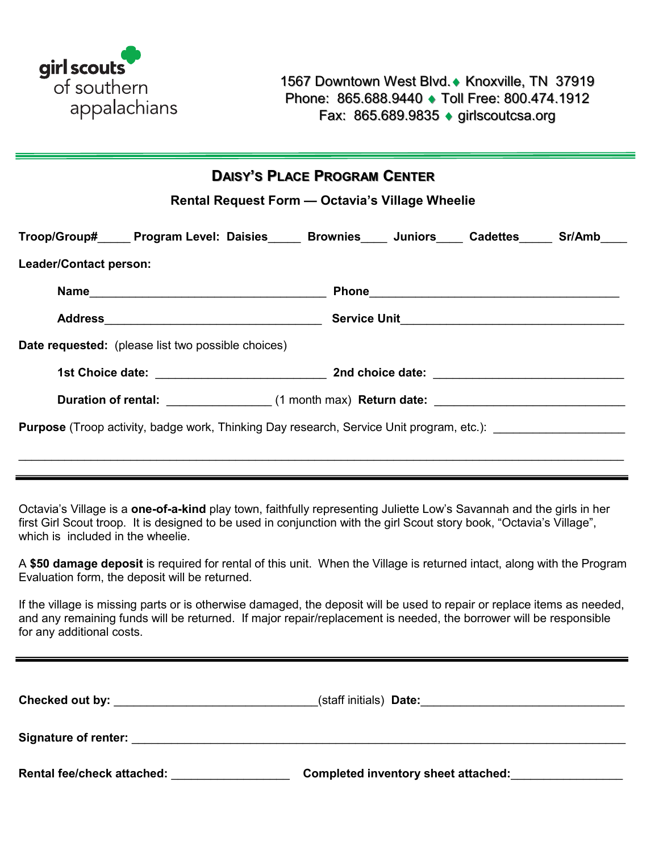

| <b>DAISY'S PLACE PROGRAM CENTER</b><br>Rental Request Form - Octavia's Village Wheelie                                                                                                                                                                                    |  |  |  |                                                                         |  |  |
|---------------------------------------------------------------------------------------------------------------------------------------------------------------------------------------------------------------------------------------------------------------------------|--|--|--|-------------------------------------------------------------------------|--|--|
| Troop/Group# Program Level: Daisies Brownies Juniors Cadettes Sr/Amb                                                                                                                                                                                                      |  |  |  |                                                                         |  |  |
| Leader/Contact person:                                                                                                                                                                                                                                                    |  |  |  |                                                                         |  |  |
|                                                                                                                                                                                                                                                                           |  |  |  |                                                                         |  |  |
|                                                                                                                                                                                                                                                                           |  |  |  |                                                                         |  |  |
| <b>Date requested:</b> (please list two possible choices)                                                                                                                                                                                                                 |  |  |  |                                                                         |  |  |
|                                                                                                                                                                                                                                                                           |  |  |  |                                                                         |  |  |
| Duration of rental: ________________(1 month max) Return date: __________________                                                                                                                                                                                         |  |  |  |                                                                         |  |  |
| Purpose (Troop activity, badge work, Thinking Day research, Service Unit program, etc.): ____________________<br>Octavia's Village is a one-of-a-kind play town, faithfully representing Juliette Low's Savannah and the girls in her                                     |  |  |  |                                                                         |  |  |
| first Girl Scout troop. It is designed to be used in conjunction with the girl Scout story book, "Octavia's Village",<br>which is included in the wheelie.                                                                                                                |  |  |  |                                                                         |  |  |
| A \$50 damage deposit is required for rental of this unit. When the Village is returned intact, along with the Program<br>Evaluation form, the deposit will be returned.                                                                                                  |  |  |  |                                                                         |  |  |
| If the village is missing parts or is otherwise damaged, the deposit will be used to repair or replace items as needed,<br>and any remaining funds will be returned. If major repair/replacement is needed, the borrower will be responsible<br>for any additional costs. |  |  |  |                                                                         |  |  |
|                                                                                                                                                                                                                                                                           |  |  |  |                                                                         |  |  |
|                                                                                                                                                                                                                                                                           |  |  |  |                                                                         |  |  |
|                                                                                                                                                                                                                                                                           |  |  |  |                                                                         |  |  |
| Rental fee/check attached: Neutralian Manuscript                                                                                                                                                                                                                          |  |  |  | Completed inventory sheet attached: Completed inventory sheet attached: |  |  |